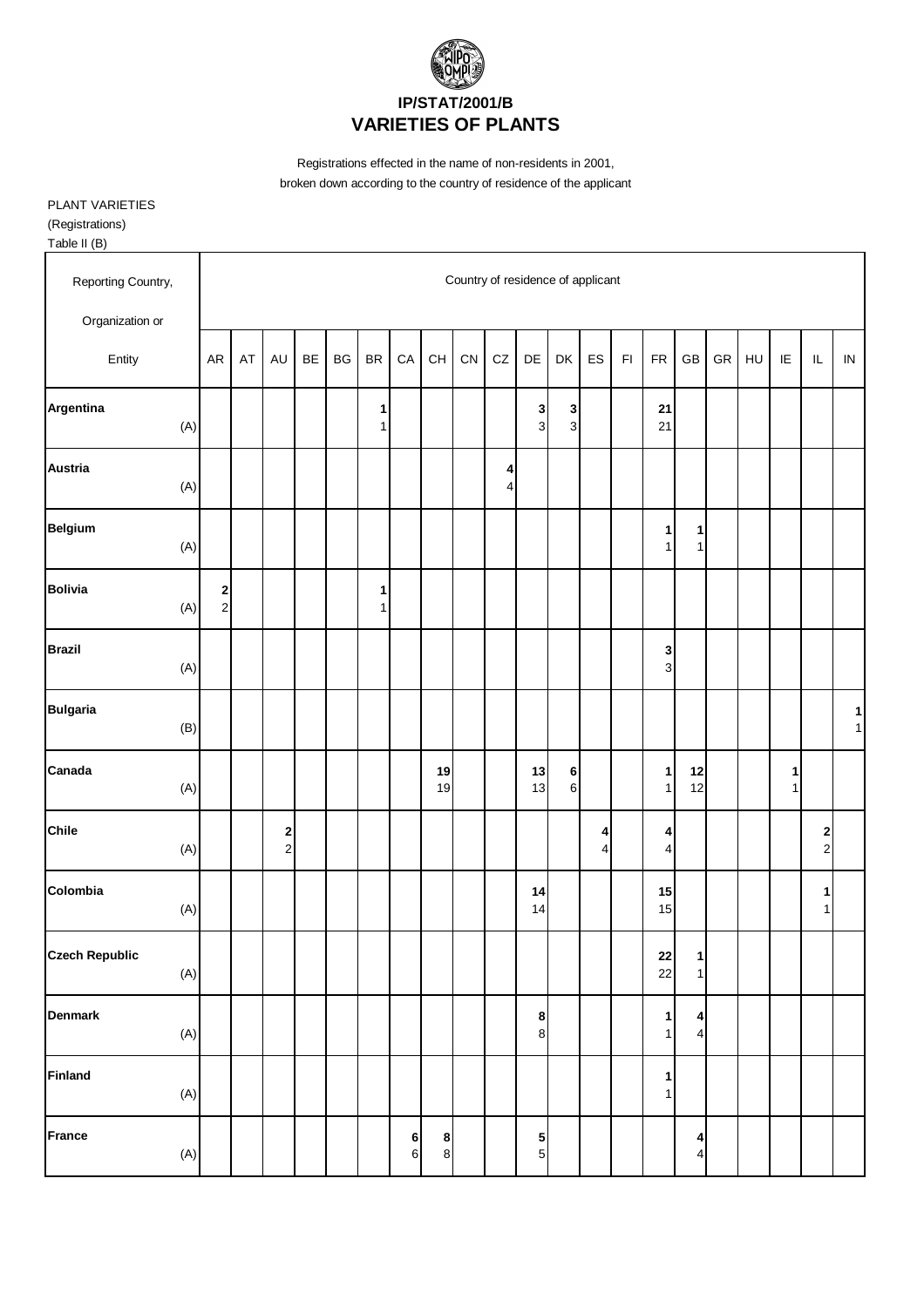

Registrations effected in the name of non-residents in 2001, broken down according to the country of residence of the applicant

PLANT VARIETIES (Registrations)

Table II (B)

| 1001011                      |            |                                          |    |               |    |    |                                |                  |                                          |                                   |            |                     |                              |                              |               |                              |                              |            |    |                   |                                   |                   |
|------------------------------|------------|------------------------------------------|----|---------------|----|----|--------------------------------|------------------|------------------------------------------|-----------------------------------|------------|---------------------|------------------------------|------------------------------|---------------|------------------------------|------------------------------|------------|----|-------------------|-----------------------------------|-------------------|
| Reporting Country,           |            |                                          |    |               |    |    |                                |                  |                                          | Country of residence of applicant |            |                     |                              |                              |               |                              |                              |            |    |                   |                                   |                   |
| Organization or              |            |                                          |    |               |    |    |                                |                  |                                          |                                   |            |                     |                              |                              |               |                              |                              |            |    |                   |                                   |                   |
| Entity                       | ${\sf AR}$ |                                          | AT | AU            | BE | BG | $\mathsf{BR}$                  | ${\sf CA}$       | $\mathsf{CH}% \left( \mathcal{M}\right)$ | CN                                | ${\tt CZ}$ | DE                  | DK                           | ES                           | $\mathsf{FI}$ | ${\sf FR}$                   | $\mathsf{GB}$                | ${\sf GR}$ | HU | IE                | $\ensuremath{\mathsf{IL}}\xspace$ | ${\sf IN}$        |
| Argentina<br>(A)             |            |                                          |    |               |    |    | 1<br>1                         |                  |                                          |                                   |            | 3<br>3              | $\mathbf{3}$<br>$\mathbf{3}$ |                              |               | 21<br>21                     |                              |            |    |                   |                                   |                   |
| <b>Austria</b><br>(A)        |            |                                          |    |               |    |    |                                |                  |                                          |                                   | 4<br>4     |                     |                              |                              |               |                              |                              |            |    |                   |                                   |                   |
| <b>Belgium</b><br>(A)        |            |                                          |    |               |    |    |                                |                  |                                          |                                   |            |                     |                              |                              |               | $\mathbf{1}$<br>1            | 1<br>$\mathbf{1}$            |            |    |                   |                                   |                   |
| <b>Bolivia</b><br>(A)        |            | $\begin{array}{c} \n2 \\ 2\n\end{array}$ |    |               |    |    | $\mathbf{1}$<br>1 <sup>1</sup> |                  |                                          |                                   |            |                     |                              |                              |               |                              |                              |            |    |                   |                                   |                   |
| <b>Brazil</b><br>(A)         |            |                                          |    |               |    |    |                                |                  |                                          |                                   |            |                     |                              |                              |               | 3<br>$\overline{3}$          |                              |            |    |                   |                                   |                   |
| <b>Bulgaria</b><br>(B)       |            |                                          |    |               |    |    |                                |                  |                                          |                                   |            |                     |                              |                              |               |                              |                              |            |    |                   |                                   | 1<br>$\mathbf{1}$ |
| Canada<br>(A)                |            |                                          |    |               |    |    |                                |                  | 19<br>19                                 |                                   |            | 13<br>13            | $\bf 6$<br>$\,$ 6 $\,$       |                              |               | 1<br>1                       | 12<br>12                     |            |    | 1<br>$\mathbf{1}$ |                                   |                   |
| Chile<br>(A)                 |            |                                          |    | $\frac{2}{2}$ |    |    |                                |                  |                                          |                                   |            |                     |                              | 4<br>$\overline{\mathbf{4}}$ |               | 4<br>$\vert$                 |                              |            |    |                   | $\mathbf{2}$<br>$\overline{c}$    |                   |
| Colombia<br>(A)              |            |                                          |    |               |    |    |                                |                  |                                          |                                   |            | 14<br>14            |                              |                              |               | 15<br>15                     |                              |            |    |                   | $\mathbf{1}$<br>1                 |                   |
| <b>Czech Republic</b><br>(A) |            |                                          |    |               |    |    |                                |                  |                                          |                                   |            |                     |                              |                              |               | 22<br>22                     | 1<br>$\mathbf{1}$            |            |    |                   |                                   |                   |
| <b>Denmark</b><br>$(A)$      |            |                                          |    |               |    |    |                                |                  |                                          |                                   |            | 8<br>$\bf{8}$       |                              |                              |               | $\mathbf{1}$<br>$\mathbf{1}$ | 4<br>$\overline{4}$          |            |    |                   |                                   |                   |
| <b>Finland</b><br>(A)        |            |                                          |    |               |    |    |                                |                  |                                          |                                   |            |                     |                              |                              |               | 1<br>$\mathbf{1}$            |                              |            |    |                   |                                   |                   |
| France<br>$(\mathsf{A})$     |            |                                          |    |               |    |    |                                | 6<br>$\,$ 6 $\,$ | $\boldsymbol{8}$<br>$\bf{8}$             |                                   |            | 5<br>5 <sub>5</sub> |                              |                              |               |                              | 4<br>$\overline{\mathbf{4}}$ |            |    |                   |                                   |                   |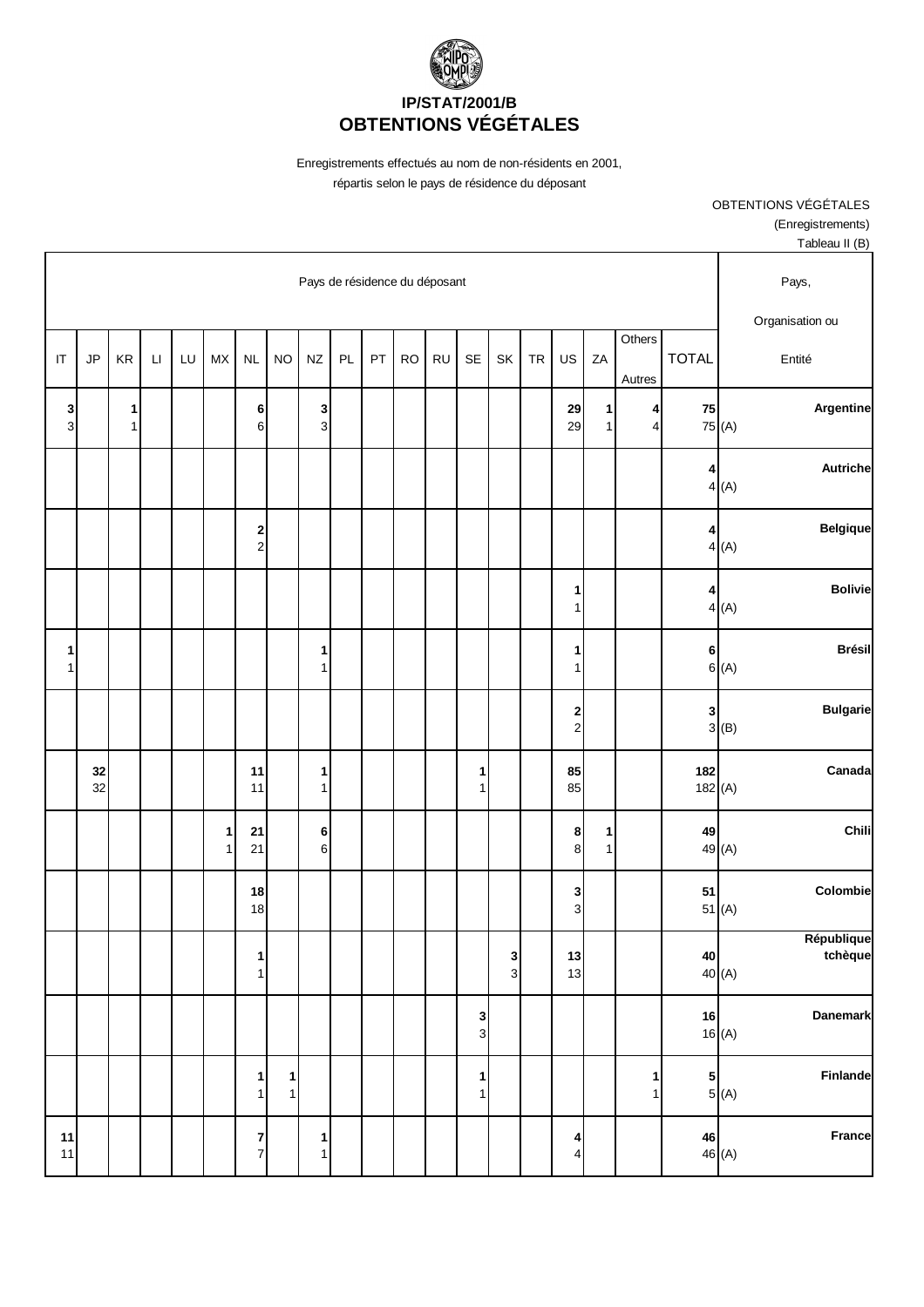

Enregistrements effectués au nom de non-résidents en 2001, répartis selon le pays de résidence du déposant

> OBTENTIONS VÉGÉTALES (Enregistrements)

| Tableau II (B)                                            |                                                    |                     |                   |                              |           |                              |                   |           |           |    |    |                   |                              |                  |                   |    |                        |        |          |                   |
|-----------------------------------------------------------|----------------------------------------------------|---------------------|-------------------|------------------------------|-----------|------------------------------|-------------------|-----------|-----------|----|----|-------------------|------------------------------|------------------|-------------------|----|------------------------|--------|----------|-------------------|
| Pays de résidence du déposant<br>Pays,<br>Organisation ou |                                                    |                     |                   |                              |           |                              |                   |           |           |    |    |                   |                              |                  |                   |    |                        |        |          |                   |
| Entité                                                    | <b>TOTAL</b>                                       | Others<br>Autres    | ZA                | US                           | <b>TR</b> | SK                           | <b>SE</b>         | <b>RU</b> | <b>RO</b> | PT | PL | <b>NZ</b>         | <b>NO</b>                    | <b>NL</b>        | <b>MX</b>         | LU | $\mathsf{L}\mathsf{I}$ | KR     | JP       | $\sf IT$          |
| Argentine                                                 | 75<br>75 (A)                                       | 4<br>$\overline{4}$ | 1<br>$\mathbf{1}$ | 29<br>29                     |           |                              |                   |           |           |    |    | 3<br>$\mathbf{3}$ |                              | 6<br>$\mathbf 6$ |                   |    |                        | 1<br>1 |          | 3<br>$\mathbf{3}$ |
| <b>Autriche</b><br>4(A)                                   | 4                                                  |                     |                   |                              |           |                              |                   |           |           |    |    |                   |                              |                  |                   |    |                        |        |          |                   |
| <b>Belgique</b><br>4(A)                                   | 4                                                  |                     |                   |                              |           |                              |                   |           |           |    |    |                   |                              | $\frac{2}{2}$    |                   |    |                        |        |          |                   |
| <b>Bolivie</b><br>4(A)                                    | 4                                                  |                     |                   | 1<br>$\mathbf{1}$            |           |                              |                   |           |           |    |    |                   |                              |                  |                   |    |                        |        |          |                   |
| <b>Brésil</b><br>6(A)                                     | 6                                                  |                     |                   | 1<br>$\mathbf{1}$            |           |                              |                   |           |           |    |    | 1<br>$\mathbf{1}$ |                              |                  |                   |    |                        |        |          | 1<br>$\mathbf{1}$ |
| <b>Bulgarie</b><br>3(B)                                   | $\mathbf 3$                                        |                     |                   | $\frac{2}{2}$                |           |                              |                   |           |           |    |    |                   |                              |                  |                   |    |                        |        |          |                   |
| Canada                                                    | 182<br>182 $(A)$                                   |                     |                   | 85<br>85                     |           |                              | 1<br>$\mathbf{1}$ |           |           |    |    | 1<br>$\mathbf{1}$ |                              | 11<br>11         |                   |    |                        |        | 32<br>32 |                   |
| Chili                                                     | 49<br>49 (A)                                       |                     | 1<br>$\mathbf{1}$ | 8<br>8                       |           |                              |                   |           |           |    |    | 6<br>$\,6$        |                              | $21$<br>21       | 1<br>$\mathbf{1}$ |    |                        |        |          |                   |
| Colombie                                                  | 51<br>51 $(A)$                                     |                     |                   | 3<br>$\overline{3}$          |           |                              |                   |           |           |    |    |                   |                              | 18<br>18         |                   |    |                        |        |          |                   |
| République<br>tchèque                                     | 40<br>40 <sub>(A)</sub>                            |                     |                   | 13<br>13                     |           | $\mathbf{3}$<br>$\mathbf{3}$ |                   |           |           |    |    |                   |                              | 1<br>1           |                   |    |                        |        |          |                   |
| <b>Danemark</b>                                           | 16<br>16(A)                                        |                     |                   |                              |           |                              | 3<br>$\mathbf{3}$ |           |           |    |    |                   |                              |                  |                   |    |                        |        |          |                   |
| Finlande<br>$\begin{bmatrix} 5 \\ 5 \\ (A) \end{bmatrix}$ |                                                    | $\mathbf{1}$<br>1   |                   |                              |           |                              | $\mathbf{1}$<br>1 |           |           |    |    |                   | $\mathbf{1}$<br>$\mathbf{1}$ | 1<br>$1\vert$    |                   |    |                        |        |          |                   |
| France                                                    | $\begin{array}{c c} 46 & 46 \\ 46 & 4 \end{array}$ |                     |                   | 4<br>$\overline{\mathbf{4}}$ |           |                              |                   |           |           |    |    | $\mathbf{1}$<br>1 |                              | $\frac{7}{7}$    |                   |    |                        |        |          | 11<br>$11$        |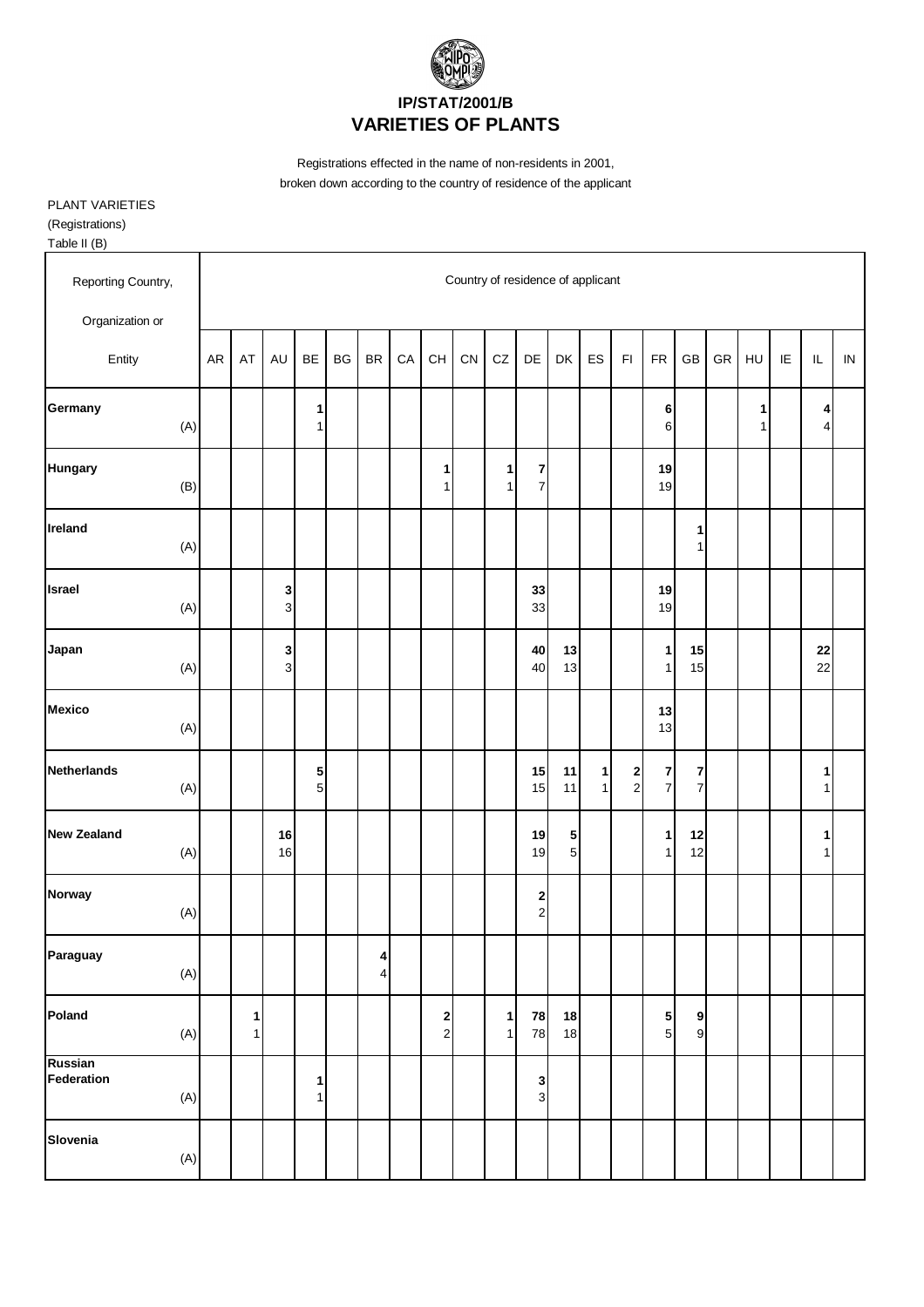

Registrations effected in the name of non-residents in 2001, broken down according to the country of residence of the applicant

PLANT VARIETIES (Registrations)

Table II (B)

| Reporting Country,           |    |                   |                     |                   |    |                                    |    |                                        | Country of residence of applicant |                              |                                |                          |                   |                                       |                     |          |            |        |                        |                   |            |
|------------------------------|----|-------------------|---------------------|-------------------|----|------------------------------------|----|----------------------------------------|-----------------------------------|------------------------------|--------------------------------|--------------------------|-------------------|---------------------------------------|---------------------|----------|------------|--------|------------------------|-------------------|------------|
| Organization or              |    |                   |                     |                   |    |                                    |    |                                        |                                   |                              |                                |                          |                   |                                       |                     |          |            |        |                        |                   |            |
| Entity                       | AR | AT                | <b>AU</b>           | BE                | BG | $\mathsf{BR}$                      | CA | CH                                     | ${\sf CN}$                        | CZ                           | $\mathsf{DE}% _{T}$            | DK                       | ES                | F1                                    | ${\sf FR}$          | GB       | ${\sf GR}$ | HU     | $\mathsf{I}\mathsf{E}$ | $\sf IL$          | ${\sf IN}$ |
| Germany<br>(A)               |    |                   |                     | 1<br>$\mathbf{1}$ |    |                                    |    |                                        |                                   |                              |                                |                          |                   |                                       | 6<br>6              |          |            | 1<br>1 |                        | 4<br>4            |            |
| Hungary<br>(B)               |    |                   |                     |                   |    |                                    |    | 1<br>1                                 |                                   | 1<br>1                       | $\mathbf{z}$<br>$\overline{7}$ |                          |                   |                                       | 19<br>19            |          |            |        |                        |                   |            |
| Ireland<br>(A)               |    |                   |                     |                   |    |                                    |    |                                        |                                   |                              |                                |                          |                   |                                       |                     | 1<br>1   |            |        |                        |                   |            |
| Israel<br>(A)                |    |                   | 3<br>$\overline{3}$ |                   |    |                                    |    |                                        |                                   |                              | 33<br>33                       |                          |                   |                                       | 19<br>19            |          |            |        |                        |                   |            |
| Japan<br>(A)                 |    |                   | 3<br>$\overline{3}$ |                   |    |                                    |    |                                        |                                   |                              | 40<br>40                       | $13$<br>13               |                   |                                       | 1<br>$\mathbf{1}$   | 15<br>15 |            |        |                        | 22<br>22          |            |
| <b>Mexico</b><br>(A)         |    |                   |                     |                   |    |                                    |    |                                        |                                   |                              |                                |                          |                   |                                       | $13$<br>13          |          |            |        |                        |                   |            |
| <b>Netherlands</b><br>(A)    |    |                   |                     | 5<br>5            |    |                                    |    |                                        |                                   |                              | 15<br>15                       | 11<br>11                 | 1<br>$\mathbf{1}$ | $\begin{array}{c} 2 \\ 2 \end{array}$ | 7<br>$\overline{7}$ | 7<br>7   |            |        |                        | 1<br>1            |            |
| <b>New Zealand</b><br>(A)    |    |                   | 16<br>16            |                   |    |                                    |    |                                        |                                   |                              | 19<br>19                       | ${\bf 5}$<br>$\mathbf 5$ |                   |                                       | 1<br>$\mathbf{1}$   | 12<br>12 |            |        |                        | 1<br>$\mathbf{1}$ |            |
| Norway<br>(A)                |    |                   |                     |                   |    |                                    |    |                                        |                                   |                              | $\mathbf{2}$<br>$\mathbf{2}$   |                          |                   |                                       |                     |          |            |        |                        |                   |            |
| Paraguay<br>(A)              |    |                   |                     |                   |    | $\boldsymbol{4}$<br>$\overline{4}$ |    |                                        |                                   |                              |                                |                          |                   |                                       |                     |          |            |        |                        |                   |            |
| Poland<br>(A)                |    | 1<br>$\mathbf{1}$ |                     |                   |    |                                    |    | $\overline{\mathbf{c}}$<br>$\mathbf 2$ |                                   | $\mathbf{1}$<br>$\mathbf{1}$ | 78<br>78                       | 18<br>18                 |                   |                                       | 5<br>$\overline{5}$ | 9<br>9   |            |        |                        |                   |            |
| Russian<br>Federation<br>(A) |    |                   |                     | 1<br>$\mathbf{1}$ |    |                                    |    |                                        |                                   |                              | 3<br>$\mathbf{3}$              |                          |                   |                                       |                     |          |            |        |                        |                   |            |
| Slovenia<br>$(\mathsf{A})$   |    |                   |                     |                   |    |                                    |    |                                        |                                   |                              |                                |                          |                   |                                       |                     |          |            |        |                        |                   |            |
|                              |    |                   |                     |                   |    |                                    |    |                                        |                                   |                              |                                |                          |                   |                                       |                     |          |            |        |                        |                   |            |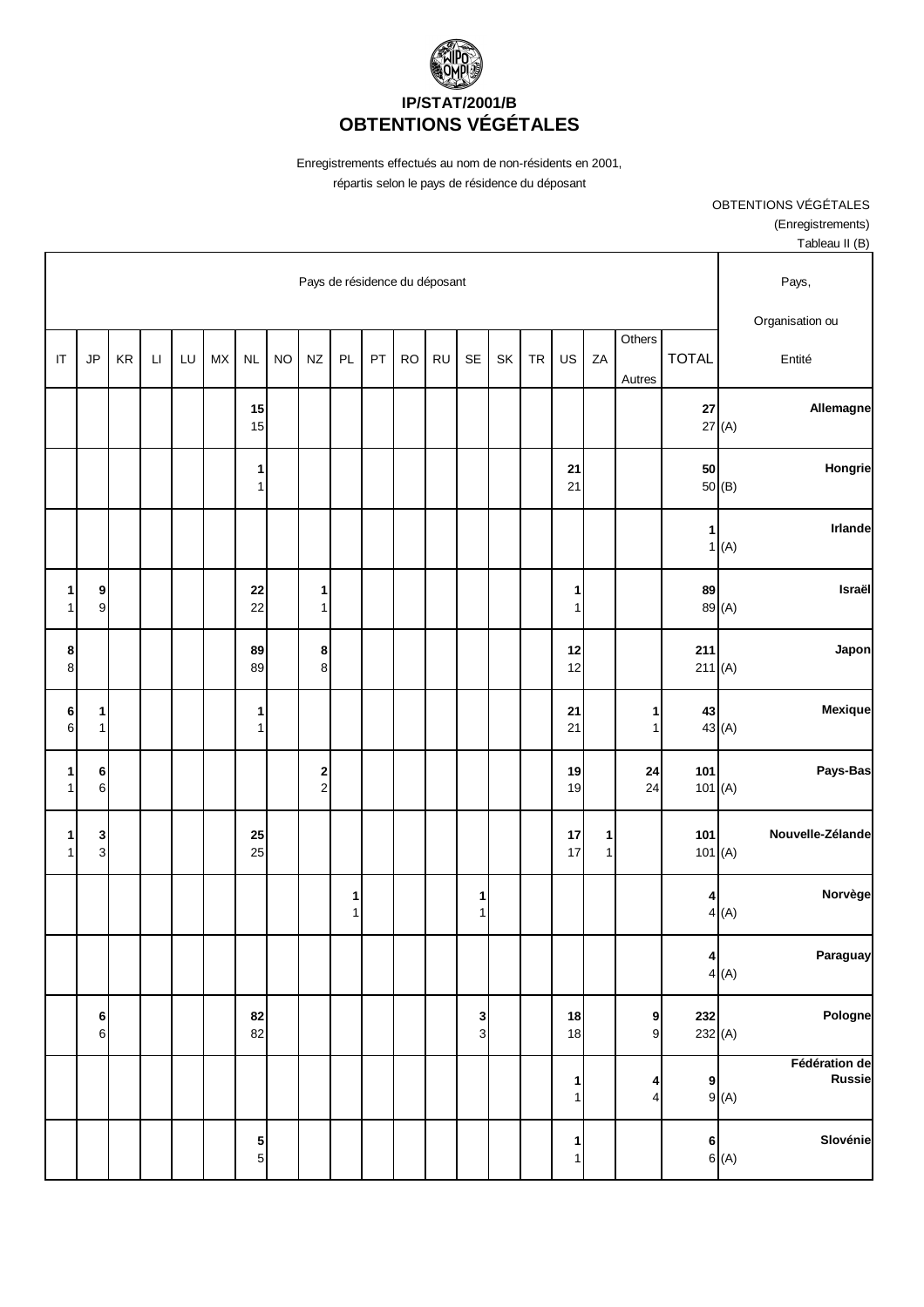

Enregistrements effectués au nom de non-résidents en 2001,

répartis selon le pays de résidence du déposant

OBTENTIONS VÉGÉTALES (Enregistrements)

| Tableau II (B)                                                                                                                                                                                                 |                         |     |                     |                                |          |  |  |                     |  |  |  |        |                                          |                                   |  |  |                                |                                    |
|----------------------------------------------------------------------------------------------------------------------------------------------------------------------------------------------------------------|-------------------------|-----|---------------------|--------------------------------|----------|--|--|---------------------|--|--|--|--------|------------------------------------------|-----------------------------------|--|--|--------------------------------|------------------------------------|
| Pays,                                                                                                                                                                                                          |                         |     |                     |                                |          |  |  |                     |  |  |  |        | Pays de résidence du déposant            |                                   |  |  |                                |                                    |
| Organisation ou<br>Others<br><b>TOTAL</b><br>LU<br><b>MX</b><br>NZ<br>PL<br>PT<br><b>RO</b><br><b>RU</b><br><b>SE</b><br>SK<br>US<br>ZA<br>KR<br><b>NL</b><br><b>NO</b><br><b>TR</b><br>$\mathsf{L}\mathsf{I}$ |                         |     |                     |                                |          |  |  |                     |  |  |  |        |                                          |                                   |  |  |                                |                                    |
| Entité                                                                                                                                                                                                         |                         |     | Autres              |                                |          |  |  |                     |  |  |  |        |                                          |                                   |  |  | JP                             | $\mathsf{I}\mathsf{T}$             |
| Allemagne                                                                                                                                                                                                      | 27(A)                   | 27  |                     |                                |          |  |  |                     |  |  |  |        |                                          | 15<br>15                          |  |  |                                |                                    |
| Hongrie                                                                                                                                                                                                        | 50(B)                   | 50  |                     |                                | 21<br>21 |  |  |                     |  |  |  |        |                                          | $\mathbf{1}$<br>$\mathbf{1}$      |  |  |                                |                                    |
| Irlande                                                                                                                                                                                                        | 1<br>1(A)               |     |                     |                                |          |  |  |                     |  |  |  |        |                                          |                                   |  |  |                                |                                    |
| Israël                                                                                                                                                                                                         | 89 (A)                  | 89  |                     |                                | 1<br>1   |  |  |                     |  |  |  |        | 1<br>1                                   | 22<br>22                          |  |  | 9<br>$\mathbf 9$               | $1\vert$<br>1                      |
| Japon                                                                                                                                                                                                          | 211(A)                  | 211 |                     |                                | 12<br>12 |  |  |                     |  |  |  |        | 8<br>$\bf 8$                             | 89<br>89                          |  |  |                                | $\boldsymbol{8}$<br>8 <sup>1</sup> |
| Mexique                                                                                                                                                                                                        | 43 (A)                  | 43  | 1<br>$\mathbf{1}$   |                                | 21<br>21 |  |  |                     |  |  |  |        |                                          | 1<br>$\mathbf{1}$                 |  |  | 1<br>$\mathbf{1}$              | $6\overline{)}$<br>$\,$ 6 $\,$     |
| Pays-Bas                                                                                                                                                                                                       | 101(A)                  | 101 | 24<br>24            |                                | 19<br>19 |  |  |                     |  |  |  |        | $\begin{array}{c} \n2 \\ 2\n\end{array}$ |                                   |  |  | 6<br>$\,6$                     | 1<br>1                             |
| Nouvelle-Zélande                                                                                                                                                                                               | 101 $(A)$               | 101 |                     | $\mathbf{1}$<br>1 <sup>1</sup> | 17<br>17 |  |  |                     |  |  |  |        |                                          | 25<br>25                          |  |  | 3<br>$\ensuremath{\mathsf{3}}$ | 1<br>1                             |
| Norvège                                                                                                                                                                                                        | 4<br>4(A)               |     |                     |                                |          |  |  | 1<br>$\mathbf{1}$   |  |  |  | 1<br>1 |                                          |                                   |  |  |                                |                                    |
| Paraguay                                                                                                                                                                                                       | $\vert$<br>4(A)         |     |                     |                                |          |  |  |                     |  |  |  |        |                                          |                                   |  |  |                                |                                    |
| Pologne                                                                                                                                                                                                        | 232(A)                  | 232 | 9<br>$\mathsf g$    |                                | 18<br>18 |  |  | 3<br>$\overline{3}$ |  |  |  |        |                                          | 82<br>82                          |  |  | 6<br>$\mathbf 6$               |                                    |
| Fédération de<br><b>Russie</b>                                                                                                                                                                                 | 9<br>9(A)               |     | 4<br>$\overline{4}$ |                                | 1<br>1   |  |  |                     |  |  |  |        |                                          |                                   |  |  |                                |                                    |
| Slovénie                                                                                                                                                                                                       | $6\overline{6}$<br>6(A) |     |                     |                                | 1<br>1   |  |  |                     |  |  |  |        |                                          | $5\overline{)}$<br>$\overline{5}$ |  |  |                                |                                    |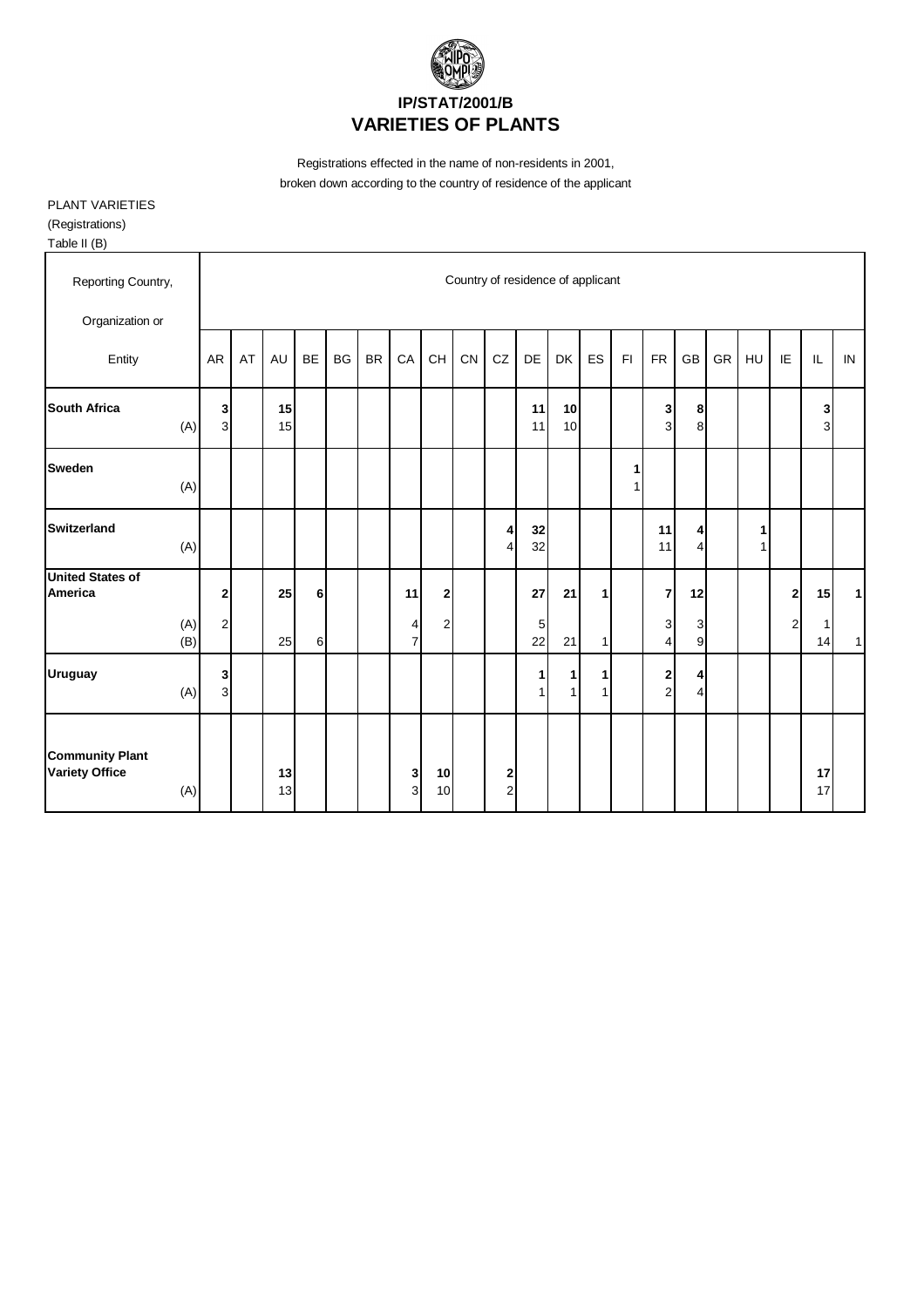

Registrations effected in the name of non-residents in 2001, broken down according to the country of residence of the applicant

PLANT VARIETIES

(Registrations) Table II (B)

| Reporting Country,                                     |                                  |    |           |    |           |           |                     |                |           |                     |          | Country of residence of applicant |              |        |                                |                     |    |        |                         |          |              |
|--------------------------------------------------------|----------------------------------|----|-----------|----|-----------|-----------|---------------------|----------------|-----------|---------------------|----------|-----------------------------------|--------------|--------|--------------------------------|---------------------|----|--------|-------------------------|----------|--------------|
| Organization or                                        |                                  |    |           |    |           |           |                     |                |           |                     |          |                                   |              |        |                                |                     |    |        |                         |          |              |
| Entity                                                 | <b>AR</b>                        | AT | <b>AU</b> | BE | <b>BG</b> | <b>BR</b> | CA                  | CH             | <b>CN</b> | CZ                  | DE       | DK                                | ES           | F1     | FR                             | GB                  | GR | HU     | IE                      | IL       | IN           |
| <b>South Africa</b><br>(A)                             | 3 <sup>1</sup><br>$\overline{3}$ |    | 15<br>15  |    |           |           |                     |                |           |                     | 11<br>11 | 10<br>10                          |              |        | 3<br>$\overline{3}$            | 8<br>8              |    |        |                         | 3<br>3   |              |
| <b>Sweden</b><br>(A)                                   |                                  |    |           |    |           |           |                     |                |           |                     |          |                                   |              | 1<br>1 |                                |                     |    |        |                         |          |              |
| <b>Switzerland</b><br>(A)                              |                                  |    |           |    |           |           |                     |                |           | 4<br>4              | 32<br>32 |                                   |              |        | 11<br>11                       | 4<br>$\overline{4}$ |    | 1<br>1 |                         |          |              |
| <b>United States of</b><br>America                     | $\mathbf{2}$                     |    | 25        | 6  |           |           | 11                  | 2              |           |                     | 27       | 21                                | $\mathbf{1}$ |        | $\overline{7}$                 | 12                  |    |        | 2                       | 15       | $\mathbf{1}$ |
| (A)<br>(B)                                             | $\overline{c}$                   |    | 25        | 6  |           |           | 4<br>$\overline{7}$ | $\overline{c}$ |           |                     | 5<br>22  | 21                                | 11           |        | 3<br>4                         | 3<br>9              |    |        | $\overline{\mathbf{c}}$ | 1<br>14  | $\mathbf{1}$ |
| <b>Uruguay</b><br>(A)                                  | 3<br>3 <sup>l</sup>              |    |           |    |           |           |                     |                |           |                     | 1        | $\mathbf{1}$<br>$\mathbf{1}$      | 11<br>11     |        | $\mathbf{2}$<br>$\overline{2}$ | 4<br>$\overline{4}$ |    |        |                         |          |              |
| <b>Community Plant</b><br><b>Variety Office</b><br>(A) |                                  |    | 13<br>13  |    |           |           | 3<br>3              | 10<br>10       |           | 2<br>$\overline{2}$ |          |                                   |              |        |                                |                     |    |        |                         | 17<br>17 |              |